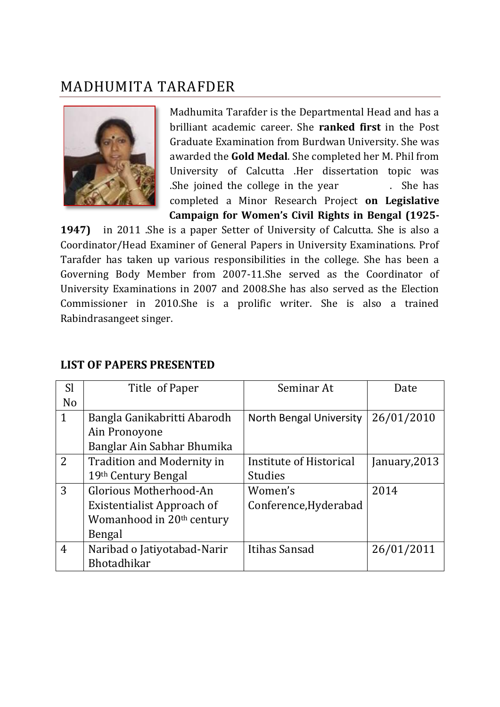## MADHUMITA TARAFDER



Madhumita Tarafder is the Departmental Head and has a brilliant academic career. She **ranked first** in the Post Graduate Examination from Burdwan University. She was awarded the **Gold Medal**. She completed her M. Phil from University of Calcutta .Her dissertation topic was .She joined the college in the year . She has completed a Minor Research Project **on Legislative Campaign for Women's Civil Rights in Bengal (1925-**

**1947)** in 2011 .She is a paper Setter of University of Calcutta. She is also a Coordinator/Head Examiner of General Papers in University Examinations. Prof Tarafder has taken up various responsibilities in the college. She has been a Governing Body Member from 2007-11.She served as the Coordinator of University Examinations in 2007 and 2008.She has also served as the Election Commissioner in 2010.She is a prolific writer. She is also a trained Rabindrasangeet singer.

| <b>Sl</b>      | Title of Paper                        | Seminar At              | Date          |
|----------------|---------------------------------------|-------------------------|---------------|
| No             |                                       |                         |               |
| $\mathbf{1}$   | Bangla Ganikabritti Abarodh           | North Bengal University | 26/01/2010    |
|                | Ain Pronoyone                         |                         |               |
|                | Banglar Ain Sabhar Bhumika            |                         |               |
| $\overline{2}$ | <b>Tradition and Modernity in</b>     | Institute of Historical | January, 2013 |
|                | 19th Century Bengal                   | <b>Studies</b>          |               |
| 3              | Glorious Motherhood-An                | Women's                 | 2014          |
|                | Existentialist Approach of            | Conference, Hyderabad   |               |
|                | Womanhood in 20 <sup>th</sup> century |                         |               |
|                | Bengal                                |                         |               |
| 4              | Naribad o Jatiyotabad-Narir           | Itihas Sansad           | 26/01/2011    |
|                | Bhotadhikar                           |                         |               |

## **LIST OF PAPERS PRESENTED**